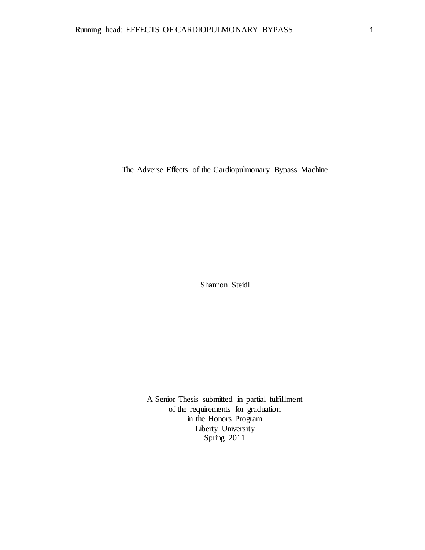The Adverse Effects of the Cardiopulmonary Bypass Machine

Shannon Steidl

A Senior Thesis submitted in partial fulfillment of the requirements for graduation in the Honors Program Liberty University Spring 2011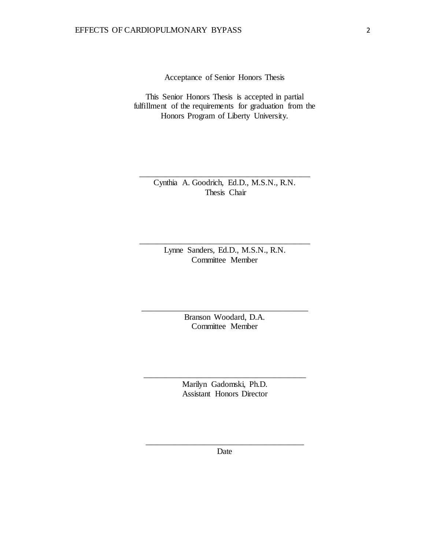Acceptance of Senior Honors Thesis

This Senior Honors Thesis is accepted in partial fulfillment of the requirements for graduation from the Honors Program of Liberty University.

> Cynthia A. Goodrich, Ed.D., M.S.N., R.N. Thesis Chair

\_\_\_\_\_\_\_\_\_\_\_\_\_\_\_\_\_\_\_\_\_\_\_\_\_\_\_\_\_\_\_\_\_\_\_\_\_\_\_\_\_

Lynne Sanders, Ed.D., M.S.N., R.N. Committee Member

\_\_\_\_\_\_\_\_\_\_\_\_\_\_\_\_\_\_\_\_\_\_\_\_\_\_\_\_\_\_\_\_\_\_\_\_\_\_\_\_\_

Branson Woodard, D.A. Committee Member

\_\_\_\_\_\_\_\_\_\_\_\_\_\_\_\_\_\_\_\_\_\_\_\_\_\_\_\_\_\_\_\_\_\_\_\_\_\_\_\_

Marilyn Gadomski, Ph.D. Assistant Honors Director

\_\_\_\_\_\_\_\_\_\_\_\_\_\_\_\_\_\_\_\_\_\_\_\_\_\_\_\_\_\_\_\_\_\_\_\_\_\_\_

\_\_\_\_\_\_\_\_\_\_\_\_\_\_\_\_\_\_\_\_\_\_\_\_\_\_\_\_\_\_\_\_\_\_\_\_\_\_ Date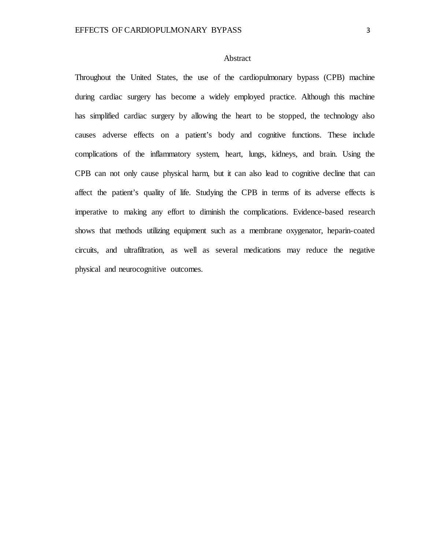### Abstract

Throughout the United States, the use of the cardiopulmonary bypass (CPB) machine during cardiac surgery has become a widely employed practice. Although this machine has simplified cardiac surgery by allowing the heart to be stopped, the technology also causes adverse effects on a patient's body and cognitive functions. These include complications of the inflammatory system, heart, lungs, kidneys, and brain. Using the CPB can not only cause physical harm, but it can also lead to cognitive decline that can affect the patient's quality of life. Studying the CPB in terms of its adverse effects is imperative to making any effort to diminish the complications. Evidence-based research shows that methods utilizing equipment such as a membrane oxygenator, heparin-coated circuits, and ultrafiltration, as well as several medications may reduce the negative physical and neurocognitive outcomes.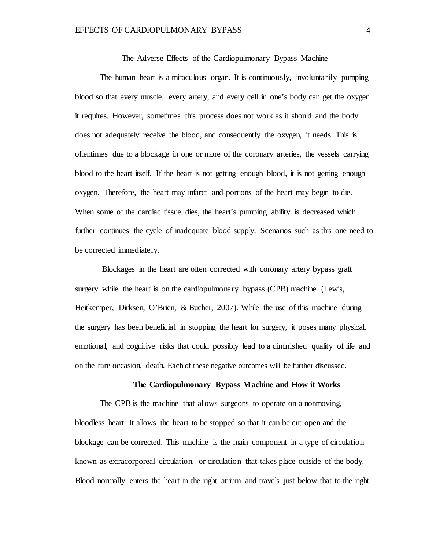The Adverse Effects of the Cardiopulmonary Bypass Machine

The human heart is a miraculous organ. It is continuously, involuntarily pumping blood so that every muscle, every artery, and every cell in one's body can get the oxygen it requires. However, sometimes this process does not work as it should and the body does not adequately receive the blood, and consequently the oxygen, it needs. This is oftentimes due to a blockage in one or more of the coronary arteries, the vessels carrying blood to the heart itself. If the heart is not getting enough blood, it is not getting enough oxygen. Therefore, the heart may infarct and portions of the heart may begin to die. When some of the cardiac tissue dies, the heart's pumping ability is decreased which further continues the cycle of inadequate blood supply. Scenarios such as this one need to be corrected immediately.

Blockages in the heart are often corrected with coronary artery bypass graft surgery while the heart is on the cardiopulmonary bypass (CPB) machine (Lewis, Heitkemper, Dirksen, O'Brien, & Bucher, 2007). While the use of this machine during the surgery has been beneficial in stopping the heart for surgery, it poses many physical, emotional, and cognitive risks that could possibly lead to a diminished quality of life and on the rare occasion, death. Each of these negative outcomes will be further discussed.

### **The Cardiopulmonary Bypass Machine and How it Works**

The CPB is the machine that allows surgeons to operate on a nonmoving, bloodless heart. It allows the heart to be stopped so that it can be cut open and the blockage can be corrected. This machine is the main component in a type of circulation known as extracorporeal circulation, or circulation that takes place outside of the body. Blood normally enters the heart in the right atrium and travels just below that to the right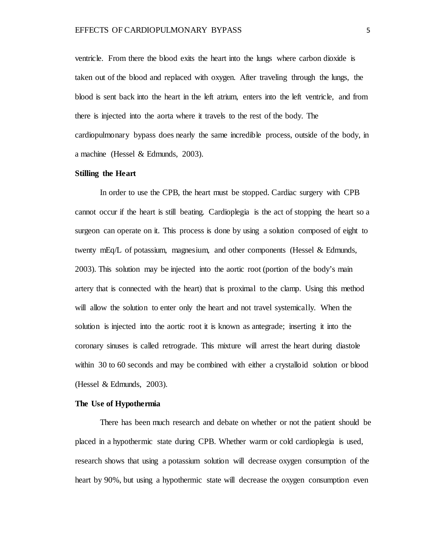ventricle. From there the blood exits the heart into the lungs where carbon dioxide is taken out of the blood and replaced with oxygen. After traveling through the lungs, the blood is sent back into the heart in the left atrium, enters into the left ventricle, and from there is injected into the aorta where it travels to the rest of the body. The cardiopulmonary bypass does nearly the same incredible process, outside of the body, in a machine (Hessel & Edmunds, 2003).

## **Stilling the Heart**

In order to use the CPB, the heart must be stopped. Cardiac surgery with CPB cannot occur if the heart is still beating. Cardioplegia is the act of stopping the heart so a surgeon can operate on it. This process is done by using a solution composed of eight to twenty mEq/L of potassium, magnesium, and other components (Hessel & Edmunds, 2003). This solution may be injected into the aortic root (portion of the body's main artery that is connected with the heart) that is proximal to the clamp. Using this method will allow the solution to enter only the heart and not travel systemically. When the solution is injected into the aortic root it is known as antegrade; inserting it into the coronary sinuses is called retrograde. This mixture will arrest the heart during diastole within 30 to 60 seconds and may be combined with either a crystalloid solution or blood (Hessel & Edmunds, 2003).

#### **The Use of Hypothermia**

There has been much research and debate on whether or not the patient should be placed in a hypothermic state during CPB. Whether warm or cold cardioplegia is used, research shows that using a potassium solution will decrease oxygen consumption of the heart by 90%, but using a hypothermic state will decrease the oxygen consumption even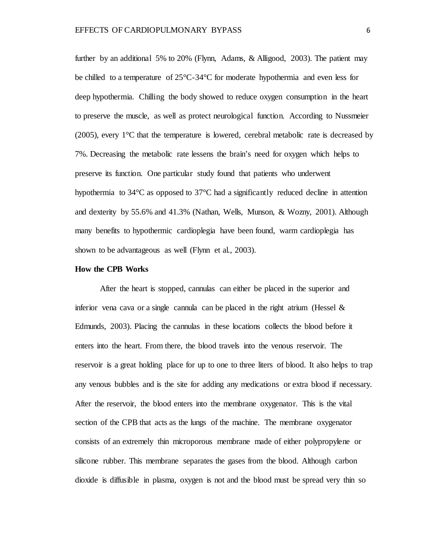further by an additional 5% to 20% (Flynn, Adams, & Alligood, 2003). The patient may be chilled to a temperature of 25°C-34°C for moderate hypothermia and even less for deep hypothermia. Chilling the body showed to reduce oxygen consumption in the heart to preserve the muscle, as well as protect neurological function. According to Nussmeier (2005), every 1°C that the temperature is lowered, cerebral metabolic rate is decreased by 7%. Decreasing the metabolic rate lessens the brain's need for oxygen which helps to preserve its function. One particular study found that patients who underwent hypothermia to 34°C as opposed to 37°C had a significantly reduced decline in attention and dexterity by 55.6% and 41.3% (Nathan, Wells, Munson, & Wozny, 2001). Although many benefits to hypothermic cardioplegia have been found, warm cardioplegia has shown to be advantageous as well (Flynn et al., 2003).

#### **How the CPB Works**

After the heart is stopped, cannulas can either be placed in the superior and inferior vena cava or a single cannula can be placed in the right atrium (Hessel  $\&$ Edmunds, 2003). Placing the cannulas in these locations collects the blood before it enters into the heart. From there, the blood travels into the venous reservoir. The reservoir is a great holding place for up to one to three liters of blood. It also helps to trap any venous bubbles and is the site for adding any medications or extra blood if necessary. After the reservoir, the blood enters into the membrane oxygenator. This is the vital section of the CPB that acts as the lungs of the machine. The membrane oxygenator consists of an extremely thin microporous membrane made of either polypropylene or silicone rubber. This membrane separates the gases from the blood. Although carbon dioxide is diffusible in plasma, oxygen is not and the blood must be spread very thin so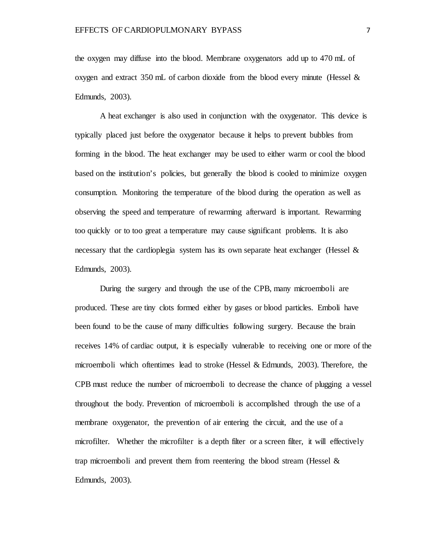the oxygen may diffuse into the blood. Membrane oxygenators add up to 470 mL of oxygen and extract 350 mL of carbon dioxide from the blood every minute (Hessel  $\&$ Edmunds, 2003).

A heat exchanger is also used in conjunction with the oxygenator. This device is typically placed just before the oxygenator because it helps to prevent bubbles from forming in the blood. The heat exchanger may be used to either warm or cool the blood based on the institution's policies, but generally the blood is cooled to minimize oxygen consumption. Monitoring the temperature of the blood during the operation as well as observing the speed and temperature of rewarming afterward is important. Rewarming too quickly or to too great a temperature may cause significant problems. It is also necessary that the cardioplegia system has its own separate heat exchanger (Hessel  $\&$ Edmunds, 2003).

During the surgery and through the use of the CPB, many microemboli are produced. These are tiny clots formed either by gases or blood particles. Emboli have been found to be the cause of many difficulties following surgery. Because the brain receives 14% of cardiac output, it is especially vulnerable to receiving one or more of the microemboli which oftentimes lead to stroke (Hessel & Edmunds, 2003). Therefore, the CPB must reduce the number of microemboli to decrease the chance of plugging a vessel throughout the body. Prevention of microemboli is accomplished through the use of a membrane oxygenator, the prevention of air entering the circuit, and the use of a microfilter. Whether the microfilter is a depth filter or a screen filter, it will effectively trap microemboli and prevent them from reentering the blood stream (Hessel  $\&$ Edmunds, 2003).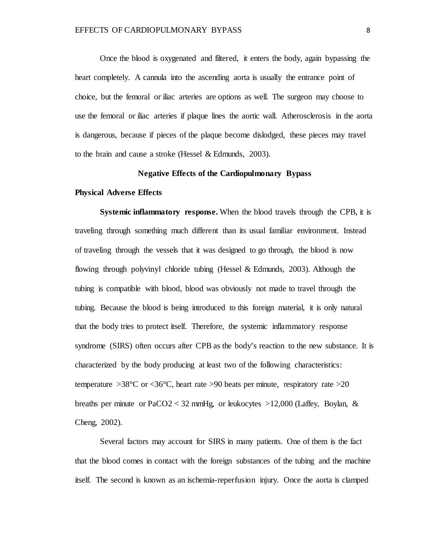Once the blood is oxygenated and filtered, it enters the body, again bypassing the heart completely. A cannula into the ascending aorta is usually the entrance point of choice, but the femoral or iliac arteries are options as well. The surgeon may choose to use the femoral or iliac arteries if plaque lines the aortic wall. Atherosclerosis in the aorta is dangerous, because if pieces of the plaque become dislodged, these pieces may travel to the brain and cause a stroke (Hessel & Edmunds, 2003).

## **Negative Effects of the Cardiopulmonary Bypass**

## **Physical Adverse Effects**

**Systemic inflammatory response.** When the blood travels through the CPB, it is traveling through something much different than its usual familiar environment. Instead of traveling through the vessels that it was designed to go through, the blood is now flowing through polyvinyl chloride tubing (Hessel & Edmunds, 2003). Although the tubing is compatible with blood, blood was obviously not made to travel through the tubing. Because the blood is being introduced to this foreign material, it is only natural that the body tries to protect itself. Therefore, the systemic inflammatory response syndrome (SIRS) often occurs after CPB as the body's reaction to the new substance. It is characterized by the body producing at least two of the following characteristics: temperature  $>38^{\circ}$ C or  $<36^{\circ}$ C, heart rate  $>90$  beats per minute, respiratory rate  $>20$ breaths per minute or  $PaCO2 < 32$  mmHg, or leukocytes  $>12,000$  (Laffey, Boylan, & Cheng, 2002).

Several factors may account for SIRS in many patients. One of them is the fact that the blood comes in contact with the foreign substances of the tubing and the machine itself. The second is known as an ischemia-reperfusion injury. Once the aorta is clamped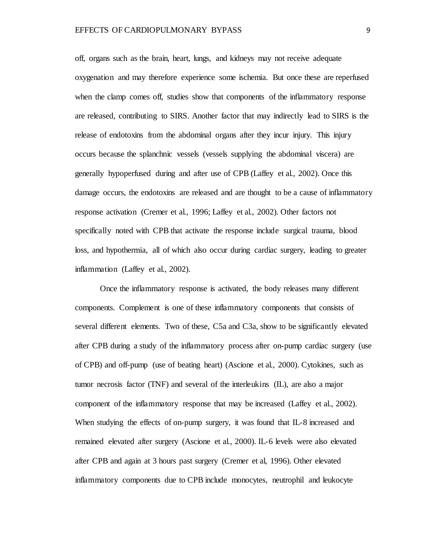off, organs such as the brain, heart, lungs, and kidneys may not receive adequate oxygenation and may therefore experience some ischemia. But once these are reperfused when the clamp comes off, studies show that components of the inflammatory response are released, contributing to SIRS. Another factor that may indirectly lead to SIRS is the release of endotoxins from the abdominal organs after they incur injury. This injury occurs because the splanchnic vessels (vessels supplying the abdominal viscera) are generally hypoperfused during and after use of CPB (Laffey et al., 2002). Once this damage occurs, the endotoxins are released and are thought to be a cause of inflammatory response activation (Cremer et al., 1996; Laffey et al., 2002). Other factors not specifically noted with CPB that activate the response include surgical trauma, blood loss, and hypothermia, all of which also occur during cardiac surgery, leading to greater inflammation (Laffey et al., 2002).

Once the inflammatory response is activated, the body releases many different components. Complement is one of these inflammatory components that consists of several different elements. Two of these, C5a and C3a, show to be significantly elevated after CPB during a study of the inflammatory process after on-pump cardiac surgery (use of CPB) and off-pump (use of beating heart) (Ascione et al., 2000). Cytokines, such as tumor necrosis factor (TNF) and several of the interleukins (IL), are also a major component of the inflammatory response that may be increased (Laffey et al., 2002). When studying the effects of on-pump surgery, it was found that IL-8 increased and remained elevated after surgery (Ascione et al., 2000). IL-6 levels were also elevated after CPB and again at 3 hours past surgery (Cremer et al, 1996). Other elevated inflammatory components due to CPB include monocytes, neutrophil and leukocyte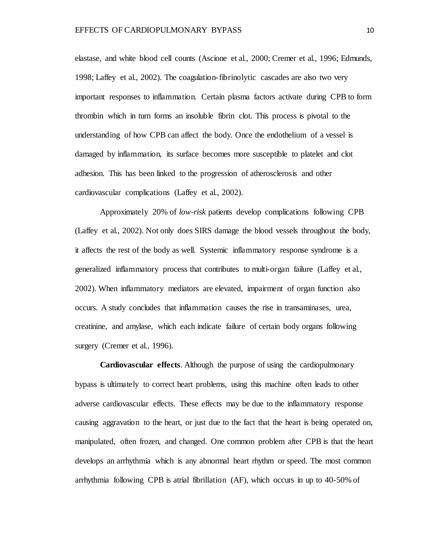elastase, and white blood cell counts (Ascione et al., 2000; Cremer et al., 1996; Edmunds, 1998; Laffey et al., 2002). The coagulation-fibrinolytic cascades are also two very important responses to inflammation. Certain plasma factors activate during CPB to form thrombin which in turn forms an insoluble fibrin clot. This process is pivotal to the understanding of how CPB can affect the body. Once the endothelium of a vessel is damaged by inflammation, its surface becomes more susceptible to platelet and clot adhesion. This has been linked to the progression of atherosclerosis and other cardiovascular complications (Laffey et al., 2002).

Approximately 20% of *low-risk* patients develop complications following CPB (Laffey et al., 2002). Not only does SIRS damage the blood vessels throughout the body, it affects the rest of the body as well. Systemic inflammatory response syndrome is a generalized inflammatory process that contributes to multi-organ failure (Laffey et al., 2002). When inflammatory mediators are elevated, impairment of organ function also occurs. A study concludes that inflammation causes the rise in transaminases, urea, creatinine, and amylase, which each indicate failure of certain body organs following surgery (Cremer et al., 1996).

**Cardiovascular effects***.* Although the purpose of using the cardiopulmonary bypass is ultimately to correct heart problems, using this machine often leads to other adverse cardiovascular effects. These effects may be due to the inflammatory response causing aggravation to the heart, or just due to the fact that the heart is being operated on, manipulated, often frozen, and changed. One common problem after CPB is that the heart develops an arrhythmia which is any abnormal heart rhythm or speed. The most common arrhythmia following CPB is atrial fibrillation (AF), which occurs in up to 40-50% of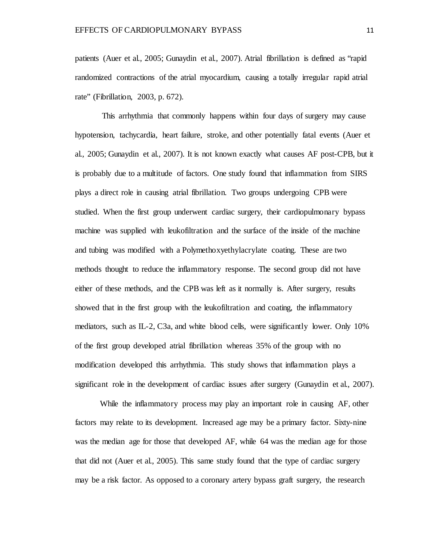patients (Auer et al., 2005; Gunaydin et al., 2007). Atrial fibrillation is defined as "rapid randomized contractions of the atrial myocardium, causing a totally irregular rapid atrial rate" (Fibrillation, 2003, p. 672).

This arrhythmia that commonly happens within four days of surgery may cause hypotension, tachycardia, heart failure, stroke, and other potentially fatal events (Auer et al., 2005; Gunaydin et al., 2007). It is not known exactly what causes AF post-CPB, but it is probably due to a multitude of factors. One study found that inflammation from SIRS plays a direct role in causing atrial fibrillation. Two groups undergoing CPB were studied. When the first group underwent cardiac surgery, their cardiopulmonary bypass machine was supplied with leukofiltration and the surface of the inside of the machine and tubing was modified with a Polymethoxyethylacrylate coating. These are two methods thought to reduce the inflammatory response. The second group did not have either of these methods, and the CPB was left as it normally is. After surgery, results showed that in the first group with the leukofiltration and coating, the inflammatory mediators, such as IL-2, C3a, and white blood cells, were significantly lower. Only 10% of the first group developed atrial fibrillation whereas 35% of the group with no modification developed this arrhythmia. This study shows that inflammation plays a significant role in the development of cardiac issues after surgery (Gunaydin et al., 2007).

While the inflammatory process may play an important role in causing AF, other factors may relate to its development. Increased age may be a primary factor. Sixty-nine was the median age for those that developed AF, while 64 was the median age for those that did not (Auer et al., 2005). This same study found that the type of cardiac surgery may be a risk factor. As opposed to a coronary artery bypass graft surgery, the research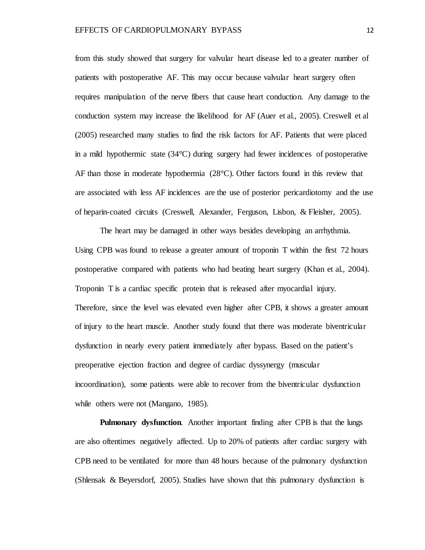from this study showed that surgery for valvular heart disease led to a greater number of patients with postoperative AF. This may occur because valvular heart surgery often requires manipulation of the nerve fibers that cause heart conduction. Any damage to the conduction system may increase the likelihood for AF (Auer et al., 2005). Creswell et al (2005) researched many studies to find the risk factors for AF. Patients that were placed in a mild hypothermic state (34°C) during surgery had fewer incidences of postoperative AF than those in moderate hypothermia (28°C). Other factors found in this review that are associated with less AF incidences are the use of posterior pericardiotomy and the use of heparin-coated circuits (Creswell, Alexander, Ferguson, Lisbon, & Fleisher, 2005).

The heart may be damaged in other ways besides developing an arrhythmia. Using CPB was found to release a greater amount of troponin T within the first 72 hours postoperative compared with patients who had beating heart surgery (Khan et al., 2004). Troponin T is a cardiac specific protein that is released after myocardial injury. Therefore, since the level was elevated even higher after CPB, it shows a greater amount of injury to the heart muscle. Another study found that there was moderate biventricular dysfunction in nearly every patient immediately after bypass. Based on the patient's preoperative ejection fraction and degree of cardiac dyssynergy (muscular incoordination), some patients were able to recover from the biventricular dysfunction while others were not (Mangano, 1985).

**Pulmonary dysfunction***.* Another important finding after CPB is that the lungs are also oftentimes negatively affected. Up to 20% of patients after cardiac surgery with CPB need to be ventilated for more than 48 hours because of the pulmonary dysfunction (Shlensak & Beyersdorf, 2005). Studies have shown that this pulmonary dysfunction is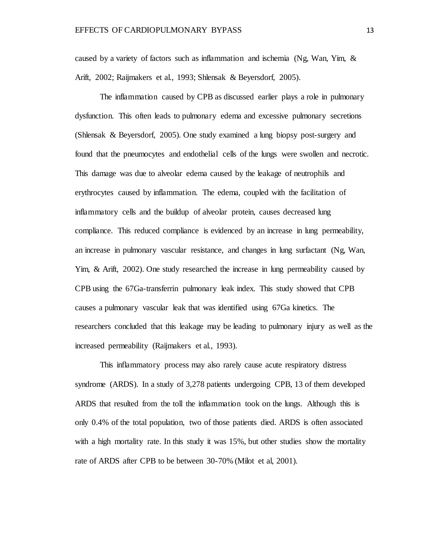caused by a variety of factors such as inflammation and ischemia (Ng, Wan, Yim, & Arift, 2002; Raijmakers et al., 1993; Shlensak & Beyersdorf, 2005).

The inflammation caused by CPB as discussed earlier plays a role in pulmonary dysfunction. This often leads to pulmonary edema and excessive pulmonary secretions (Shlensak & Beyersdorf, 2005). One study examined a lung biopsy post-surgery and found that the pneumocytes and endothelial cells of the lungs were swollen and necrotic. This damage was due to alveolar edema caused by the leakage of neutrophils and erythrocytes caused by inflammation. The edema, coupled with the facilitation of inflammatory cells and the buildup of alveolar protein, causes decreased lung compliance. This reduced compliance is evidenced by an increase in lung permeability, an increase in pulmonary vascular resistance, and changes in lung surfactant (Ng, Wan, Yim, & Arift, 2002). One study researched the increase in lung permeability caused by CPB using the 67Ga-transferrin pulmonary leak index. This study showed that CPB causes a pulmonary vascular leak that was identified using 67Ga kinetics. The researchers concluded that this leakage may be leading to pulmonary injury as well as the increased permeability (Raijmakers et al., 1993).

This inflammatory process may also rarely cause acute respiratory distress syndrome (ARDS). In a study of 3,278 patients undergoing CPB, 13 of them developed ARDS that resulted from the toll the inflammation took on the lungs. Although this is only 0.4% of the total population, two of those patients died. ARDS is often associated with a high mortality rate. In this study it was 15%, but other studies show the mortality rate of ARDS after CPB to be between 30-70% (Milot et al, 2001).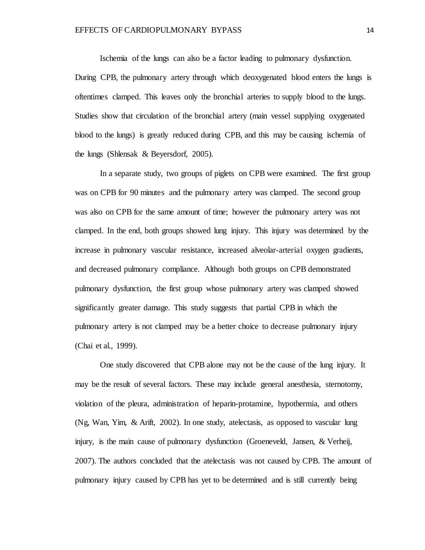Ischemia of the lungs can also be a factor leading to pulmonary dysfunction. During CPB, the pulmonary artery through which deoxygenated blood enters the lungs is oftentimes clamped. This leaves only the bronchial arteries to supply blood to the lungs. Studies show that circulation of the bronchial artery (main vessel supplying oxygenated blood to the lungs) is greatly reduced during CPB, and this may be causing ischemia of the lungs (Shlensak & Beyersdorf, 2005).

In a separate study, two groups of piglets on CPB were examined. The first group was on CPB for 90 minutes and the pulmonary artery was clamped. The second group was also on CPB for the same amount of time; however the pulmonary artery was not clamped. In the end, both groups showed lung injury. This injury was determined by the increase in pulmonary vascular resistance, increased alveolar-arterial oxygen gradients, and decreased pulmonary compliance. Although both groups on CPB demonstrated pulmonary dysfunction, the first group whose pulmonary artery was clamped showed significantly greater damage. This study suggests that partial CPB in which the pulmonary artery is not clamped may be a better choice to decrease pulmonary injury (Chai et al., 1999).

One study discovered that CPB alone may not be the cause of the lung injury. It may be the result of several factors. These may include general anesthesia, sternotomy, violation of the pleura, administration of heparin-protamine, hypothermia, and others (Ng, Wan, Yim, & Arift, 2002). In one study, atelectasis, as opposed to vascular lung injury, is the main cause of pulmonary dysfunction (Groeneveld, Jansen, & Verheij, 2007). The authors concluded that the atelectasis was not caused by CPB. The amount of pulmonary injury caused by CPB has yet to be determined and is still currently being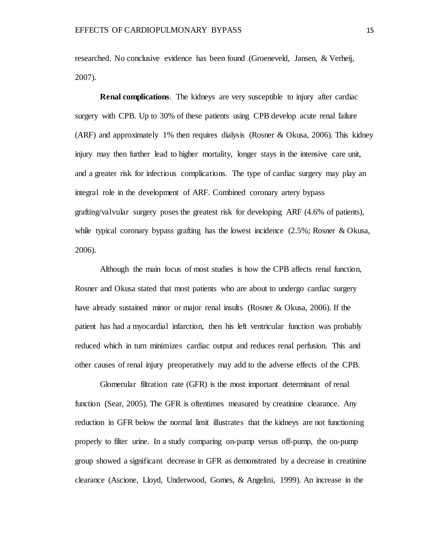researched. No conclusive evidence has been found (Groeneveld, Jansen, & Verheij, 2007).

**Renal complications***.* The kidneys are very susceptible to injury after cardiac surgery with CPB. Up to 30% of these patients using CPB develop acute renal failure (ARF) and approximately 1% then requires dialysis (Rosner & Okusa, 2006). This kidney injury may then further lead to higher mortality, longer stays in the intensive care unit, and a greater risk for infectious complications. The type of cardiac surgery may play an integral role in the development of ARF. Combined coronary artery bypass grafting/valvular surgery poses the greatest risk for developing ARF (4.6% of patients), while typical coronary bypass grafting has the lowest incidence (2.5%; Rosner & Okusa, 2006).

Although the main focus of most studies is how the CPB affects renal function, Rosner and Okusa stated that most patients who are about to undergo cardiac surgery have already sustained minor or major renal insults (Rosner & Okusa, 2006). If the patient has had a myocardial infarction, then his left ventricular function was probably reduced which in turn minimizes cardiac output and reduces renal perfusion. This and other causes of renal injury preoperatively may add to the adverse effects of the CPB.

Glomerular filtration rate (GFR) is the most important determinant of renal function (Sear, 2005). The GFR is oftentimes measured by creatinine clearance. Any reduction in GFR below the normal limit illustrates that the kidneys are not functioning properly to filter urine. In a study comparing on-pump versus off-pump, the on-pump group showed a significant decrease in GFR as demonstrated by a decrease in creatinine clearance (Ascione, Lloyd, Underwood, Gomes, & Angelini, 1999). An increase in the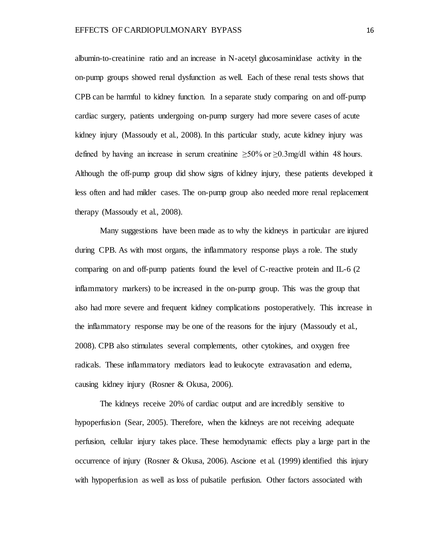albumin-to-creatinine ratio and an increase in N-acetyl glucosaminidase activity in the on-pump groups showed renal dysfunction as well. Each of these renal tests shows that CPB can be harmful to kidney function. In a separate study comparing on and off-pump cardiac surgery, patients undergoing on-pump surgery had more severe cases of acute kidney injury (Massoudy et al., 2008). In this particular study, acute kidney injury was defined by having an increase in serum creatinine  $\geq 50\%$  or  $\geq 0.3$  mg/dl within 48 hours. Although the off-pump group did show signs of kidney injury, these patients developed it less often and had milder cases. The on-pump group also needed more renal replacement therapy (Massoudy et al., 2008).

Many suggestions have been made as to why the kidneys in particular are injured during CPB. As with most organs, the inflammatory response plays a role. The study comparing on and off-pump patients found the level of C-reactive protein and IL-6 (2 inflammatory markers) to be increased in the on-pump group. This was the group that also had more severe and frequent kidney complications postoperatively. This increase in the inflammatory response may be one of the reasons for the injury (Massoudy et al., 2008). CPB also stimulates several complements, other cytokines, and oxygen free radicals. These inflammatory mediators lead to leukocyte extravasation and edema, causing kidney injury (Rosner & Okusa, 2006).

The kidneys receive 20% of cardiac output and are incredibly sensitive to hypoperfusion (Sear, 2005). Therefore, when the kidneys are not receiving adequate perfusion, cellular injury takes place. These hemodynamic effects play a large part in the occurrence of injury (Rosner & Okusa, 2006). Ascione et al. (1999) identified this injury with hypoperfusion as well as loss of pulsatile perfusion. Other factors associated with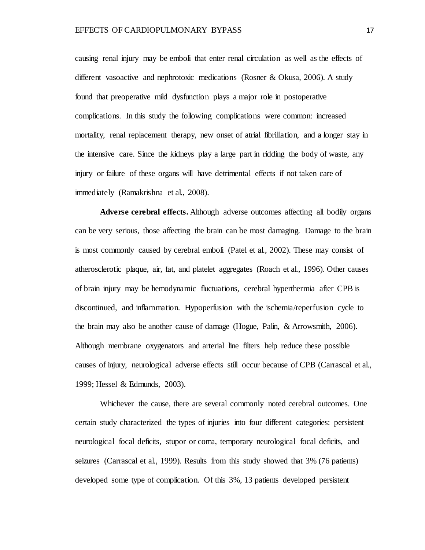causing renal injury may be emboli that enter renal circulation as well as the effects of different vasoactive and nephrotoxic medications (Rosner & Okusa, 2006). A study found that preoperative mild dysfunction plays a major role in postoperative complications. In this study the following complications were common: increased mortality, renal replacement therapy, new onset of atrial fibrillation, and a longer stay in the intensive care. Since the kidneys play a large part in ridding the body of waste, any injury or failure of these organs will have detrimental effects if not taken care of immediately (Ramakrishna et al., 2008).

**Adverse cerebral effects.** Although adverse outcomes affecting all bodily organs can be very serious, those affecting the brain can be most damaging. Damage to the brain is most commonly caused by cerebral emboli (Patel et al., 2002). These may consist of atherosclerotic plaque, air, fat, and platelet aggregates (Roach et al., 1996). Other causes of brain injury may be hemodynamic fluctuations, cerebral hyperthermia after CPB is discontinued, and inflammation. Hypoperfusion with the ischemia/reperfusion cycle to the brain may also be another cause of damage (Hogue, Palin, & Arrowsmith, 2006). Although membrane oxygenators and arterial line filters help reduce these possible causes of injury, neurological adverse effects still occur because of CPB (Carrascal et al., 1999; Hessel & Edmunds, 2003).

Whichever the cause, there are several commonly noted cerebral outcomes. One certain study characterized the types of injuries into four different categories: persistent neurological focal deficits, stupor or coma, temporary neurological focal deficits, and seizures (Carrascal et al., 1999). Results from this study showed that 3% (76 patients) developed some type of complication. Of this 3%, 13 patients developed persistent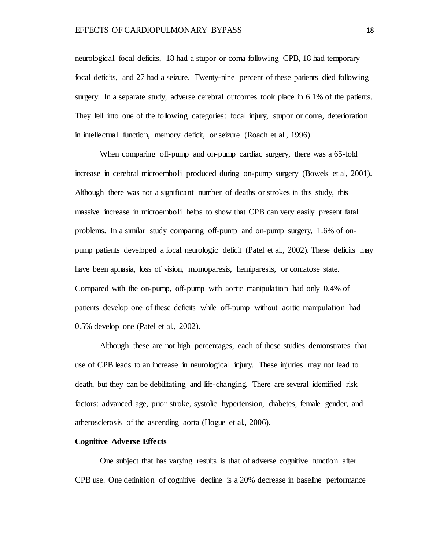neurological focal deficits, 18 had a stupor or coma following CPB, 18 had temporary focal deficits, and 27 had a seizure. Twenty-nine percent of these patients died following surgery. In a separate study, adverse cerebral outcomes took place in 6.1% of the patients. They fell into one of the following categories: focal injury, stupor or coma, deterioration in intellectual function, memory deficit, or seizure (Roach et al., 1996).

When comparing off-pump and on-pump cardiac surgery, there was a 65-fold increase in cerebral microemboli produced during on-pump surgery (Bowels et al, 2001). Although there was not a significant number of deaths or strokes in this study, this massive increase in microemboli helps to show that CPB can very easily present fatal problems. In a similar study comparing off-pump and on-pump surgery, 1.6% of onpump patients developed a focal neurologic deficit (Patel et al., 2002). These deficits may have been aphasia, loss of vision, momoparesis, hemiparesis, or comatose state. Compared with the on-pump, off-pump with aortic manipulation had only 0.4% of patients develop one of these deficits while off-pump without aortic manipulation had 0.5% develop one (Patel et al., 2002).

Although these are not high percentages, each of these studies demonstrates that use of CPB leads to an increase in neurological injury. These injuries may not lead to death, but they can be debilitating and life-changing. There are several identified risk factors: advanced age, prior stroke, systolic hypertension, diabetes, female gender, and atherosclerosis of the ascending aorta (Hogue et al., 2006).

#### **Cognitive Adverse Effects**

One subject that has varying results is that of adverse cognitive function after CPB use. One definition of cognitive decline is a 20% decrease in baseline performance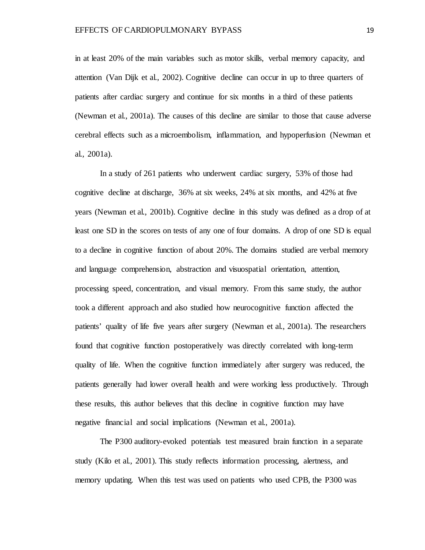in at least 20% of the main variables such as motor skills, verbal memory capacity, and attention (Van Dijk et al., 2002). Cognitive decline can occur in up to three quarters of patients after cardiac surgery and continue for six months in a third of these patients (Newman et al., 2001a). The causes of this decline are similar to those that cause adverse cerebral effects such as a microembolism, inflammation, and hypoperfusion (Newman et al., 2001a).

In a study of 261 patients who underwent cardiac surgery, 53% of those had cognitive decline at discharge, 36% at six weeks, 24% at six months, and 42% at five years (Newman et al., 2001b). Cognitive decline in this study was defined as a drop of at least one SD in the scores on tests of any one of four domains. A drop of one SD is equal to a decline in cognitive function of about 20%. The domains studied are verbal memory and language comprehension, abstraction and visuospatial orientation, attention, processing speed, concentration, and visual memory. From this same study, the author took a different approach and also studied how neurocognitive function affected the patients' quality of life five years after surgery (Newman et al., 2001a). The researchers found that cognitive function postoperatively was directly correlated with long-term quality of life. When the cognitive function immediately after surgery was reduced, the patients generally had lower overall health and were working less productively. Through these results, this author believes that this decline in cognitive function may have negative financial and social implications (Newman et al., 2001a).

The P300 auditory-evoked potentials test measured brain function in a separate study (Kilo et al., 2001). This study reflects information processing, alertness, and memory updating. When this test was used on patients who used CPB, the P300 was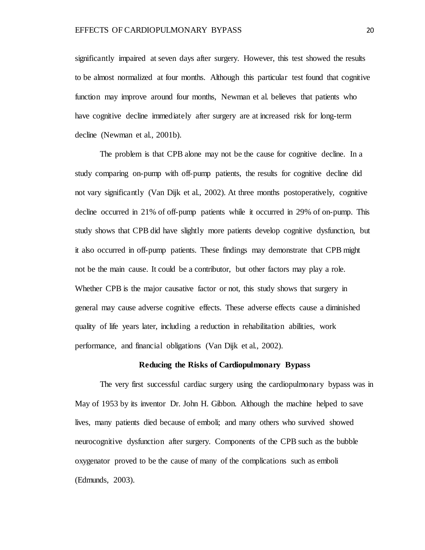significantly impaired at seven days after surgery. However, this test showed the results to be almost normalized at four months. Although this particular test found that cognitive function may improve around four months, Newman et al. believes that patients who have cognitive decline immediately after surgery are at increased risk for long-term decline (Newman et al., 2001b).

The problem is that CPB alone may not be the cause for cognitive decline. In a study comparing on-pump with off-pump patients, the results for cognitive decline did not vary significantly (Van Dijk et al., 2002). At three months postoperatively, cognitive decline occurred in 21% of off-pump patients while it occurred in 29% of on-pump. This study shows that CPB did have slightly more patients develop cognitive dysfunction, but it also occurred in off-pump patients. These findings may demonstrate that CPB might not be the main cause. It could be a contributor, but other factors may play a role. Whether CPB is the major causative factor or not, this study shows that surgery in general may cause adverse cognitive effects. These adverse effects cause a diminished quality of life years later, including a reduction in rehabilitation abilities, work performance, and financial obligations (Van Dijk et al., 2002).

### **Reducing the Risks of Cardiopulmonary Bypass**

The very first successful cardiac surgery using the cardiopulmonary bypass was in May of 1953 by its inventor Dr. John H. Gibbon. Although the machine helped to save lives, many patients died because of emboli; and many others who survived showed neurocognitive dysfunction after surgery. Components of the CPB such as the bubble oxygenator proved to be the cause of many of the complications such as emboli (Edmunds, 2003).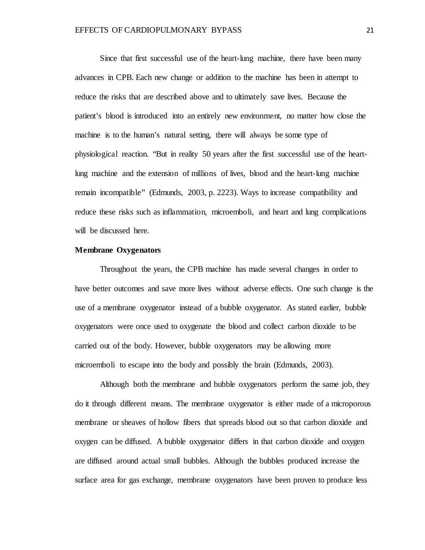Since that first successful use of the heart-lung machine, there have been many advances in CPB. Each new change or addition to the machine has been in attempt to reduce the risks that are described above and to ultimately save lives. Because the patient's blood is introduced into an entirely new environment, no matter how close the machine is to the human's natural setting, there will always be some type of physiological reaction. "But in reality 50 years after the first successful use of the heartlung machine and the extension of millions of lives, blood and the heart-lung machine remain incompatible" (Edmunds, 2003, p. 2223). Ways to increase compatibility and reduce these risks such as inflammation, microemboli, and heart and lung complications will be discussed here.

## **Membrane Oxygenators**

Throughout the years, the CPB machine has made several changes in order to have better outcomes and save more lives without adverse effects. One such change is the use of a membrane oxygenator instead of a bubble oxygenator. As stated earlier, bubble oxygenators were once used to oxygenate the blood and collect carbon dioxide to be carried out of the body. However, bubble oxygenators may be allowing more microemboli to escape into the body and possibly the brain (Edmunds, 2003).

Although both the membrane and bubble oxygenators perform the same job, they do it through different means. The membrane oxygenator is either made of a microporous membrane or sheaves of hollow fibers that spreads blood out so that carbon dioxide and oxygen can be diffused. A bubble oxygenator differs in that carbon dioxide and oxygen are diffused around actual small bubbles. Although the bubbles produced increase the surface area for gas exchange, membrane oxygenators have been proven to produce less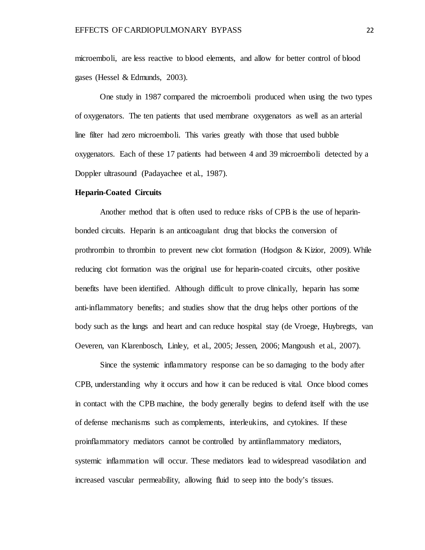microemboli, are less reactive to blood elements, and allow for better control of blood gases (Hessel & Edmunds, 2003).

One study in 1987 compared the microemboli produced when using the two types of oxygenators. The ten patients that used membrane oxygenators as well as an arterial line filter had zero microemboli. This varies greatly with those that used bubble oxygenators. Each of these 17 patients had between 4 and 39 microemboli detected by a Doppler ultrasound (Padayachee et al., 1987).

## **Heparin-Coated Circuits**

Another method that is often used to reduce risks of CPB is the use of heparinbonded circuits. Heparin is an anticoagulant drug that blocks the conversion of prothrombin to thrombin to prevent new clot formation (Hodgson & Kizior, 2009). While reducing clot formation was the original use for heparin-coated circuits, other positive benefits have been identified. Although difficult to prove clinically, heparin has some anti-inflammatory benefits; and studies show that the drug helps other portions of the body such as the lungs and heart and can reduce hospital stay (de Vroege, Huybregts, van Oeveren, van Klarenbosch, Linley, et al., 2005; Jessen, 2006; Mangoush et al., 2007).

Since the systemic inflammatory response can be so damaging to the body after CPB, understanding why it occurs and how it can be reduced is vital. Once blood comes in contact with the CPB machine, the body generally begins to defend itself with the use of defense mechanisms such as complements, interleukins, and cytokines. If these proinflammatory mediators cannot be controlled by antiinflammatory mediators, systemic inflammation will occur. These mediators lead to widespread vasodilation and increased vascular permeability, allowing fluid to seep into the body's tissues.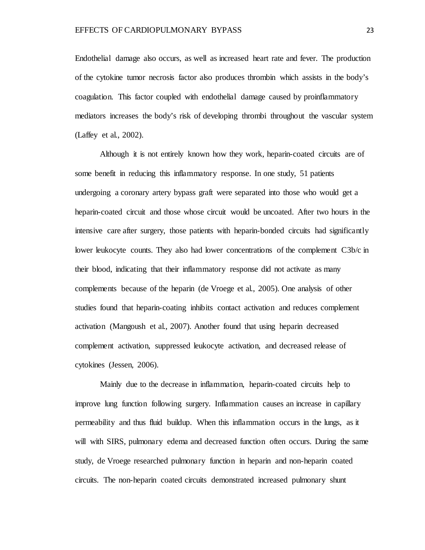Endothelial damage also occurs, as well as increased heart rate and fever. The production of the cytokine tumor necrosis factor also produces thrombin which assists in the body's coagulation. This factor coupled with endothelial damage caused by proinflammatory mediators increases the body's risk of developing thrombi throughout the vascular system (Laffey et al., 2002).

Although it is not entirely known how they work, heparin-coated circuits are of some benefit in reducing this inflammatory response. In one study, 51 patients undergoing a coronary artery bypass graft were separated into those who would get a heparin-coated circuit and those whose circuit would be uncoated. After two hours in the intensive care after surgery, those patients with heparin-bonded circuits had significantly lower leukocyte counts. They also had lower concentrations of the complement C3b/c in their blood, indicating that their inflammatory response did not activate as many complements because of the heparin (de Vroege et al., 2005). One analysis of other studies found that heparin-coating inhibits contact activation and reduces complement activation (Mangoush et al., 2007). Another found that using heparin decreased complement activation, suppressed leukocyte activation, and decreased release of cytokines (Jessen, 2006).

Mainly due to the decrease in inflammation, heparin-coated circuits help to improve lung function following surgery. Inflammation causes an increase in capillary permeability and thus fluid buildup. When this inflammation occurs in the lungs, as it will with SIRS, pulmonary edema and decreased function often occurs. During the same study, de Vroege researched pulmonary function in heparin and non-heparin coated circuits. The non-heparin coated circuits demonstrated increased pulmonary shunt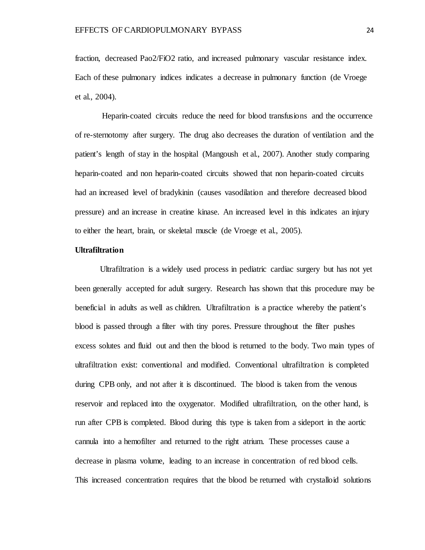fraction, decreased Pao2/FiO2 ratio, and increased pulmonary vascular resistance index. Each of these pulmonary indices indicates a decrease in pulmonary function (de Vroege et al., 2004).

Heparin-coated circuits reduce the need for blood transfusions and the occurrence of re-sternotomy after surgery. The drug also decreases the duration of ventilation and the patient's length of stay in the hospital (Mangoush et al., 2007). Another study comparing heparin-coated and non heparin-coated circuits showed that non heparin-coated circuits had an increased level of bradykinin (causes vasodilation and therefore decreased blood pressure) and an increase in creatine kinase. An increased level in this indicates an injury to either the heart, brain, or skeletal muscle (de Vroege et al., 2005).

# **Ultrafiltration**

Ultrafiltration is a widely used process in pediatric cardiac surgery but has not yet been generally accepted for adult surgery. Research has shown that this procedure may be beneficial in adults as well as children. Ultrafiltration is a practice whereby the patient's blood is passed through a filter with tiny pores. Pressure throughout the filter pushes excess solutes and fluid out and then the blood is returned to the body. Two main types of ultrafiltration exist: conventional and modified. Conventional ultrafiltration is completed during CPB only, and not after it is discontinued. The blood is taken from the venous reservoir and replaced into the oxygenator. Modified ultrafiltration, on the other hand, is run after CPB is completed. Blood during this type is taken from a sideport in the aortic cannula into a hemofilter and returned to the right atrium. These processes cause a decrease in plasma volume, leading to an increase in concentration of red blood cells. This increased concentration requires that the blood be returned with crystalloid solutions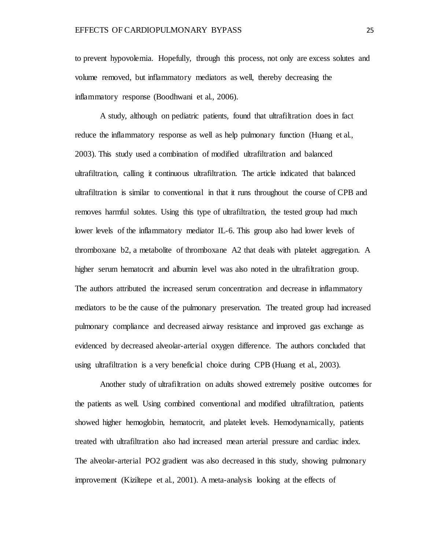to prevent hypovolemia. Hopefully, through this process, not only are excess solutes and volume removed, but inflammatory mediators as well, thereby decreasing the inflammatory response (Boodhwani et al., 2006).

A study, although on pediatric patients, found that ultrafiltration does in fact reduce the inflammatory response as well as help pulmonary function (Huang et al., 2003). This study used a combination of modified ultrafiltration and balanced ultrafiltration, calling it continuous ultrafiltration. The article indicated that balanced ultrafiltration is similar to conventional in that it runs throughout the course of CPB and removes harmful solutes. Using this type of ultrafiltration, the tested group had much lower levels of the inflammatory mediator IL-6. This group also had lower levels of thromboxane b2, a metabolite of thromboxane A2 that deals with platelet aggregation. A higher serum hematocrit and albumin level was also noted in the ultrafiltration group. The authors attributed the increased serum concentration and decrease in inflammatory mediators to be the cause of the pulmonary preservation. The treated group had increased pulmonary compliance and decreased airway resistance and improved gas exchange as evidenced by decreased alveolar-arterial oxygen difference. The authors concluded that using ultrafiltration is a very beneficial choice during CPB (Huang et al., 2003).

Another study of ultrafiltration on adults showed extremely positive outcomes for the patients as well. Using combined conventional and modified ultrafiltration, patients showed higher hemoglobin, hematocrit, and platelet levels. Hemodynamically, patients treated with ultrafiltration also had increased mean arterial pressure and cardiac index. The alveolar-arterial PO2 gradient was also decreased in this study, showing pulmonary improvement (Kiziltepe et al., 2001). A meta-analysis looking at the effects of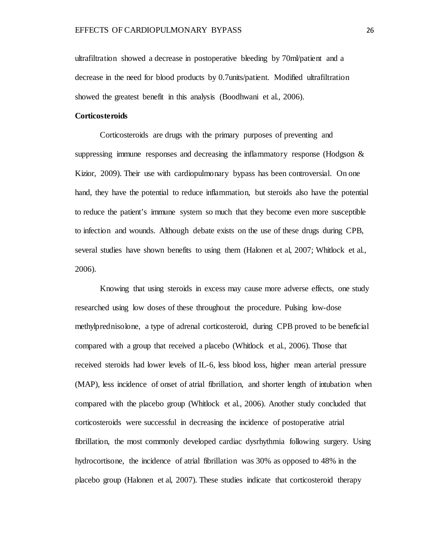ultrafiltration showed a decrease in postoperative bleeding by 70ml/patient and a decrease in the need for blood products by 0.7units/patient. Modified ultrafiltration showed the greatest benefit in this analysis (Boodhwani et al., 2006).

## **Corticosteroids**

Corticosteroids are drugs with the primary purposes of preventing and suppressing immune responses and decreasing the inflammatory response (Hodgson  $\&$ Kizior, 2009). Their use with cardiopulmonary bypass has been controversial. On one hand, they have the potential to reduce inflammation, but steroids also have the potential to reduce the patient's immune system so much that they become even more susceptible to infection and wounds. Although debate exists on the use of these drugs during CPB, several studies have shown benefits to using them (Halonen et al, 2007; Whitlock et al., 2006).

Knowing that using steroids in excess may cause more adverse effects, one study researched using low doses of these throughout the procedure. Pulsing low-dose methylprednisolone, a type of adrenal corticosteroid, during CPB proved to be beneficial compared with a group that received a placebo (Whitlock et al., 2006). Those that received steroids had lower levels of IL-6, less blood loss, higher mean arterial pressure (MAP), less incidence of onset of atrial fibrillation, and shorter length of intubation when compared with the placebo group (Whitlock et al., 2006). Another study concluded that corticosteroids were successful in decreasing the incidence of postoperative atrial fibrillation, the most commonly developed cardiac dysrhythmia following surgery. Using hydrocortisone, the incidence of atrial fibrillation was 30% as opposed to 48% in the placebo group (Halonen et al, 2007). These studies indicate that corticosteroid therapy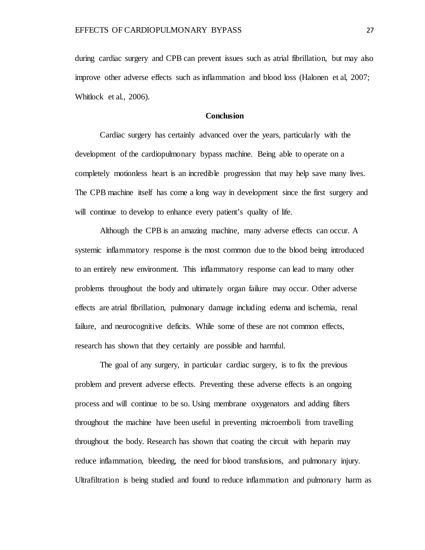during cardiac surgery and CPB can prevent issues such as atrial fibrillation, but may also improve other adverse effects such as inflammation and blood loss (Halonen et al, 2007; Whitlock et al., 2006).

## **Conclusion**

Cardiac surgery has certainly advanced over the years, particularly with the development of the cardiopulmonary bypass machine. Being able to operate on a completely motionless heart is an incredible progression that may help save many lives. The CPB machine itself has come a long way in development since the first surgery and will continue to develop to enhance every patient's quality of life.

Although the CPB is an amazing machine, many adverse effects can occur. A systemic inflammatory response is the most common due to the blood being introduced to an entirely new environment. This inflammatory response can lead to many other problems throughout the body and ultimately organ failure may occur. Other adverse effects are atrial fibrillation, pulmonary damage including edema and ischemia, renal failure, and neurocognitive deficits. While some of these are not common effects, research has shown that they certainly are possible and harmful.

The goal of any surgery, in particular cardiac surgery, is to fix the previous problem and prevent adverse effects. Preventing these adverse effects is an ongoing process and will continue to be so. Using membrane oxygenators and adding filters throughout the machine have been useful in preventing microemboli from travelling throughout the body. Research has shown that coating the circuit with heparin may reduce inflammation, bleeding, the need for blood transfusions, and pulmonary injury. Ultrafiltration is being studied and found to reduce inflammation and pulmonary harm as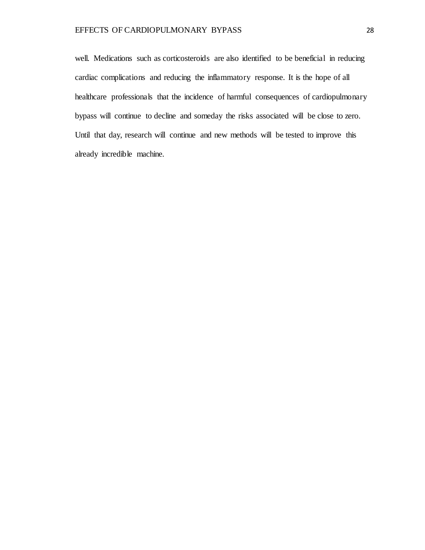well. Medications such as corticosteroids are also identified to be beneficial in reducing cardiac complications and reducing the inflammatory response. It is the hope of all healthcare professionals that the incidence of harmful consequences of cardiopulmonary bypass will continue to decline and someday the risks associated will be close to zero. Until that day, research will continue and new methods will be tested to improve this already incredible machine.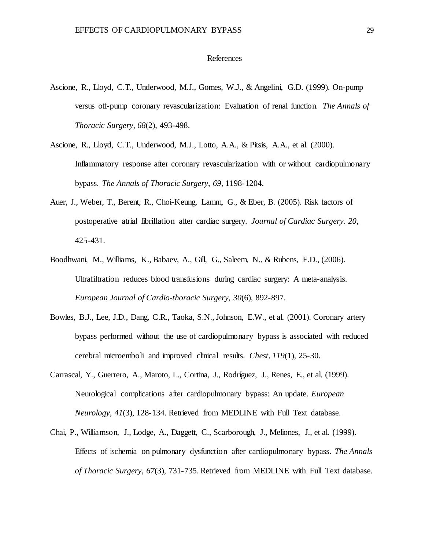## References

- Ascione, R., Lloyd, C.T., Underwood, M.J., Gomes, W.J., & Angelini, G.D. (1999). On-pump versus off-pump coronary revascularization: Evaluation of renal function. *The Annals of Thoracic Surgery*, *68*(2), 493-498.
- Ascione, R., Lloyd, C.T., Underwood, M.J., Lotto, A.A., & Pitsis, A.A., et al. (2000). Inflammatory response after coronary revascularization with or without cardiopulmonary bypass. *The Annals of Thoracic Surgery*, *69*, 1198-1204.
- Auer, J., Weber, T., Berent, R., Choi-Keung, Lamm, G., & Eber, B. (2005). Risk factors of postoperative atrial fibrillation after cardiac surgery. *Journal of Cardiac Surgery. 20*, 425-431.
- Boodhwani, M., Williams, K., Babaev, A., Gill, G., Saleem, N., & Rubens, F.D., (2006). Ultrafiltration reduces blood transfusions during cardiac surgery: A meta-analysis. *European Journal of Cardio-thoracic Surgery, 30*(6), 892-897.
- Bowles, B.J., Lee, J.D., Dang, C.R., Taoka, S.N., Johnson, E.W., et al. (2001). Coronary artery bypass performed without the use of cardiopulmonary bypass is associated with reduced cerebral microemboli and improved clinical results. *Chest, 119*(1)*,* 25-30.
- Carrascal, Y., Guerrero, A., Maroto, L., Cortina, J., Rodríguez, J., Renes, E., et al. (1999). Neurological complications after cardiopulmonary bypass: An update. *European Neurology*, *41*(3), 128-134. Retrieved from MEDLINE with Full Text database.
- Chai, P., Williamson, J., Lodge, A., Daggett, C., Scarborough, J., Meliones, J., et al. (1999). Effects of ischemia on pulmonary dysfunction after cardiopulmonary bypass. *The Annals of Thoracic Surgery*, *67*(3), 731-735. Retrieved from MEDLINE with Full Text database.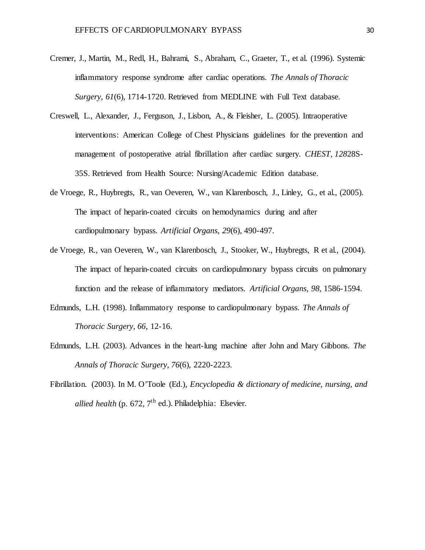- Cremer, J., Martin, M., Redl, H., Bahrami, S., Abraham, C., Graeter, T., et al. (1996). Systemic inflammatory response syndrome after cardiac operations. *The Annals of Thoracic Surgery*, *61*(6), 1714-1720. Retrieved from MEDLINE with Full Text database.
- Creswell, L., Alexander, J., Ferguson, J., Lisbon, A., & Fleisher, L. (2005). Intraoperative interventions: American College of Chest Physicians guidelines for the prevention and management of postoperative atrial fibrillation after cardiac surgery. *CHEST*, *128*28S-35S. Retrieved from Health Source: Nursing/Academic Edition database.
- de Vroege, R., Huybregts, R., van Oeveren, W., van Klarenbosch, J., Linley, G., et al., (2005). The impact of heparin-coated circuits on hemodynamics during and after cardiopulmonary bypass. *Artificial Organs, 29*(6), 490-497.
- de Vroege, R., van Oeveren, W., van Klarenbosch, J., Stooker, W., Huybregts, R et al., (2004). The impact of heparin-coated circuits on cardiopulmonary bypass circuits on pulmonary function and the release of inflammatory mediators. *Artificial Organs, 98,* 1586-1594.
- Edmunds, L.H. (1998). Inflammatory response to cardiopulmonary bypass. *The Annals of Thoracic Surgery*, *66*, 12-16.
- Edmunds, L.H. (2003). Advances in the heart-lung machine after John and Mary Gibbons. *The Annals of Thoracic Surgery*, *76*(6), 2220-2223.
- Fibrillation. (2003). In M. O'Toole (Ed.), *Encyclopedia & dictionary of medicine, nursing, and allied health* (p.  $672$ ,  $7<sup>th</sup>$  ed.). Philadelphia: Elsevier.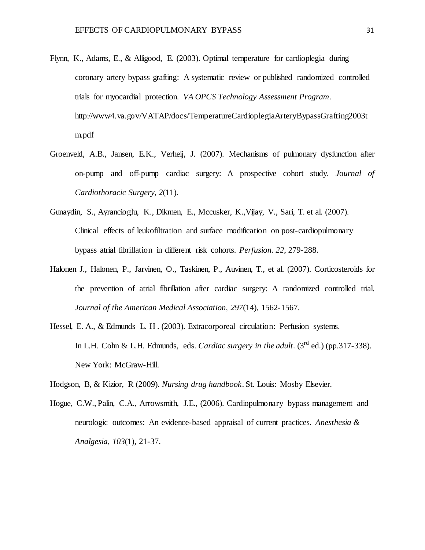- Flynn, K., Adams, E., & Alligood, E. (2003). Optimal temperature for cardioplegia during coronary artery bypass grafting: A systematic review or published randomized controlled trials for myocardial protection. *VA OPCS Technology Assessment Program.*  http://www4.va.gov/VATAP/docs/TemperatureCardioplegiaArteryBypassGrafting2003t m.pdf
- Groenveld, A.B., Jansen, E.K., Verheij, J. (2007). Mechanisms of pulmonary dysfunction after on-pump and off-pump cardiac surgery: A prospective cohort study. *J*o*urnal of Cardiothoracic Surgery, 2*(11)*.*
- Gunaydin, S., Ayrancioglu, K., Dikmen, E., Mccusker, K.,Vijay, V., Sari, T. et al. (2007). Clinical effects of leukofiltration and surface modification on post-cardiopulmonary bypass atrial fibrillation in different risk cohorts. *Perfusion. 22*, 279-288.
- Halonen J., Halonen, P., Jarvinen, O., Taskinen, P., Auvinen, T., et al. (2007). Corticosteroids for the prevention of atrial fibrillation after cardiac surgery: A randomized controlled trial. *Journal of the American Medical Association, 297*(14), 1562-1567.
- Hessel, E. A., & Edmunds L. H . (2003). Extracorporeal circulation: Perfusion systems. In L.H. Cohn & L.H. Edmunds, eds. *Cardiac surgery in the adult*. (3<sup>rd</sup> ed.) (pp.317-338). New York: McGraw-Hill.

Hodgson, B, & Kizior, R (2009). *Nursing drug handbook*. St. Louis: Mosby Elsevier.

Hogue, C.W., Palin, C.A., Arrowsmith, J.E., (2006). Cardiopulmonary bypass management and neurologic outcomes: An evidence-based appraisal of current practices. *Anesthesia & Analgesia, 103*(1)*,* 21-37.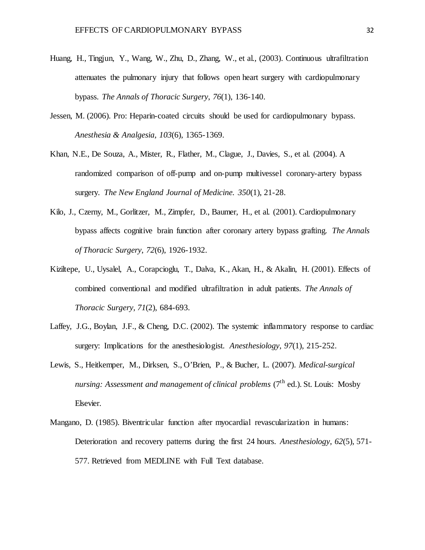- Huang, H., Tingjun, Y., Wang, W., Zhu, D., Zhang, W., et al., (2003). Continuous ultrafiltration attenuates the pulmonary injury that follows open heart surgery with cardiopulmonary bypass. *The Annals of Thoracic Surgery*, *76*(1), 136-140.
- Jessen, M. (2006). Pro: Heparin-coated circuits should be used for cardiopulmonary bypass. *Anesthesia & Analgesia, 103*(6), 1365-1369.
- Khan, N.E., De Souza, A., Mister, R., Flather, M., Clague, J., Davies, S., et al. (2004). A randomized comparison of off-pump and on-pump multivessel coronary-artery bypass surgery. *The New England Journal of Medicine. 350*(1), 21-28.
- Kilo, J., Czerny, M., Gorlitzer, M., Zimpfer, D., Baumer, H., et al. (2001). Cardiopulmonary bypass affects cognitive brain function after coronary artery bypass grafting. *The Annals of Thoracic Surgery*, *72*(6), 1926-1932.
- Kiziltepe, U., Uysalel, A., Corapcioglu, T., Dalva, K., Akan, H., & Akalin, H. (2001). Effects of combined conventional and modified ultrafiltration in adult patients. *The Annals of Thoracic Surgery, 71*(2), 684-693.
- Laffey, J.G., Boylan, J.F., & Cheng, D.C. (2002). The systemic inflammatory response to cardiac surgery: Implications for the anesthesiologist. *Anesthesiology*, *97*(1), 215-252.
- Lewis, S., Heitkemper, M., Dirksen, S., O'Brien, P., & Bucher, L. (2007). *Medical-surgical nursing: Assessment and management of clinical problems* (7<sup>th</sup> ed.). St. Louis: Mosby Elsevier.
- Mangano, D. (1985). Biventricular function after myocardial revascularization in humans: Deterioration and recovery patterns during the first 24 hours. *Anesthesiology*, *62*(5), 571- 577. Retrieved from MEDLINE with Full Text database.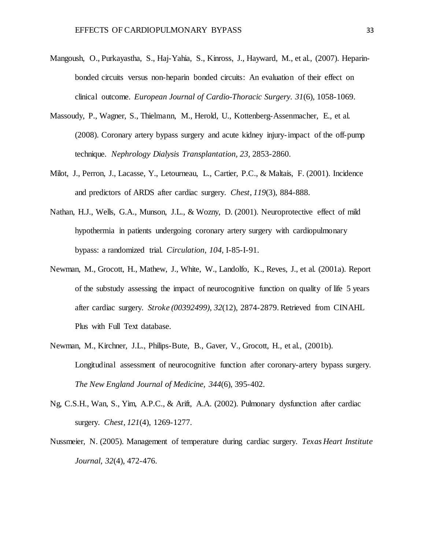- Mangoush, O., Purkayastha, S., Haj-Yahia, S., Kinross, J., Hayward, M., et al., (2007). Heparinbonded circuits versus non-heparin bonded circuits: An evaluation of their effect on clinical outcome. *European Journal of Cardio-Thoracic Surgery. 31*(6), 1058-1069.
- Massoudy, P., Wagner, S., Thielmann, M., Herold, U., Kottenberg-Assenmacher, E., et al. (2008). Coronary artery bypass surgery and acute kidney injury-impact of the off-pump technique. *Nephrology Dialysis Transplantation, 23,* 2853-2860.
- Milot, J., Perron, J., Lacasse, Y., Letourneau, L., Cartier, P.C., & Maltais, F. (2001). Incidence and predictors of ARDS after cardiac surgery. *Chest*, *119*(3), 884-888.
- Nathan, H.J., Wells, G.A., Munson, J.L., & Wozny, D. (2001). Neuroprotective effect of mild hypothermia in patients undergoing coronary artery surgery with cardiopulmonary bypass: a randomized trial. *Circulation*, *104*, I-85-I-91.
- Newman, M., Grocott, H., Mathew, J., White, W., Landolfo, K., Reves, J., et al. (2001a). Report of the substudy assessing the impact of neurocognitive function on quality of life 5 years after cardiac surgery. *Stroke (00392499)*, *32*(12), 2874-2879. Retrieved from CINAHL Plus with Full Text database.
- Newman, M., Kirchner, J.L., Philips-Bute, B., Gaver, V., Grocott, H., et al., (2001b). Longitudinal assessment of neurocognitive function after coronary-artery bypass surgery. *The New England Journal of Medicine, 344*(6), 395-402.
- Ng, C.S.H., Wan, S., Yim, A.P.C., & Arift, A.A. (2002). Pulmonary dysfunction after cardiac surgery. *Chest, 121*(4), 1269-1277.
- Nussmeier, N. (2005). Management of temperature during cardiac surgery. *Texas Heart Institute Journal*, *32*(4), 472-476.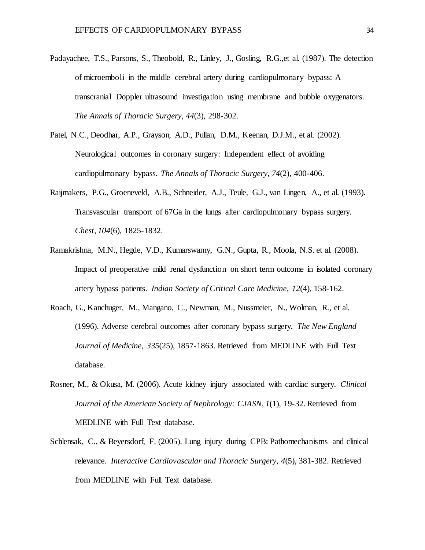- Padayachee, T.S., Parsons, S., Theobold, R., Linley, J., Gosling, R.G., et al. (1987). The detection of microemboli in the middle cerebral artery during cardiopulmonary bypass: A transcranial Doppler ultrasound investigation using membrane and bubble oxygenators. *The Annals of Thoracic Surgery*, *44*(3), 298-302.
- Patel, N.C., Deodhar, A.P., Grayson, A.D., Pullan, D.M., Keenan, D.J.M., et al. (2002). Neurological outcomes in coronary surgery: Independent effect of avoiding cardiopulmonary bypass. *The Annals of Thoracic Surgery*, *74*(2), 400-406.
- Raijmakers, P.G., Groeneveld, A.B., Schneider, A.J., Teule, G.J., van Lingen, A., et al. (1993). Transvascular transport of 67Ga in the lungs after cardiopulmonary bypass surgery. *Chest, 104*(6), 1825-1832.
- Ramakrishna, M.N., Hegde, V.D., Kumarswamy, G.N., Gupta, R., Moola, N.S. et al. (2008). Impact of preoperative mild renal dysfunction on short term outcome in isolated coronary artery bypass patients. *Indian Society of Critical Care Medicine, 12*(4), 158-162.
- Roach, G., Kanchuger, M., Mangano, C., Newman, M., Nussmeier, N., Wolman, R., et al. (1996). Adverse cerebral outcomes after coronary bypass surgery. *The New England Journal of Medicine*, *335*(25), 1857-1863. Retrieved from MEDLINE with Full Text database.
- Rosner, M., & Okusa, M. (2006). Acute kidney injury associated with cardiac surgery. *Clinical Journal of the American Society of Nephrology: CJASN*, *1*(1), 19-32. Retrieved from MEDLINE with Full Text database.
- Schlensak, C., & Beyersdorf, F. (2005). Lung injury during CPB: Pathomechanisms and clinical relevance. *Interactive Cardiovascular and Thoracic Surgery*, *4*(5), 381-382. Retrieved from MEDLINE with Full Text database.